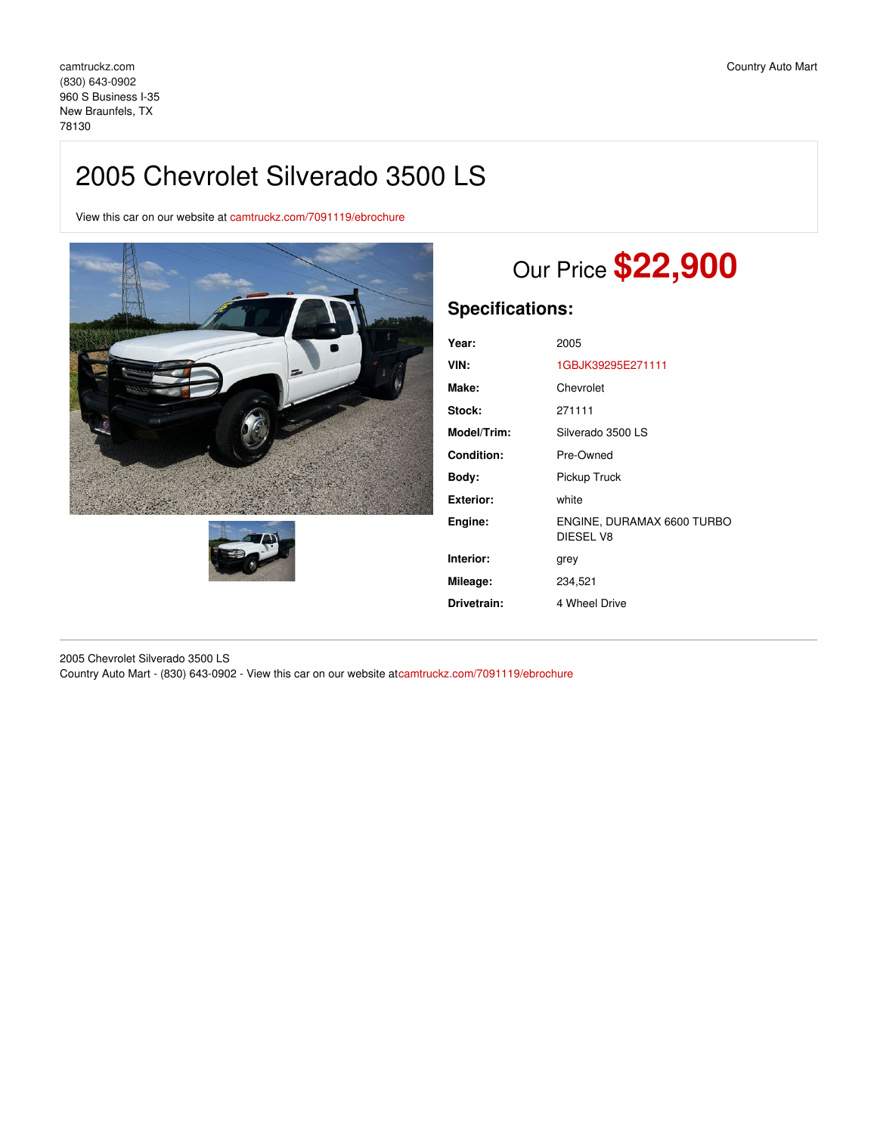## 2005 Chevrolet Silverado 3500 LS

View this car on our website at [camtruckz.com/7091119/ebrochure](https://camtruckz.com/vehicle/7091119/2005-chevrolet-silverado-3500-ls-new-braunfels-tx-78130/7091119/ebrochure)





# Our Price **\$22,900**

### **Specifications:**

| Year:       | 2005                                    |
|-------------|-----------------------------------------|
| VIN:        | 1GBJK39295E271111                       |
| Make:       | Chevrolet                               |
| Stock:      | 271111                                  |
| Model/Trim: | Silverado 3500 LS                       |
| Condition:  | Pre-Owned                               |
| Body:       | Pickup Truck                            |
| Exterior:   | white                                   |
| Engine:     | ENGINE, DURAMAX 6600 TURBO<br>DIESEL V8 |
| Interior:   | grey                                    |
| Mileage:    | 234,521                                 |
| Drivetrain: | 4 Wheel Drive                           |
|             |                                         |

2005 Chevrolet Silverado 3500 LS Country Auto Mart - (830) 643-0902 - View this car on our website a[tcamtruckz.com/7091119/ebrochure](https://camtruckz.com/vehicle/7091119/2005-chevrolet-silverado-3500-ls-new-braunfels-tx-78130/7091119/ebrochure)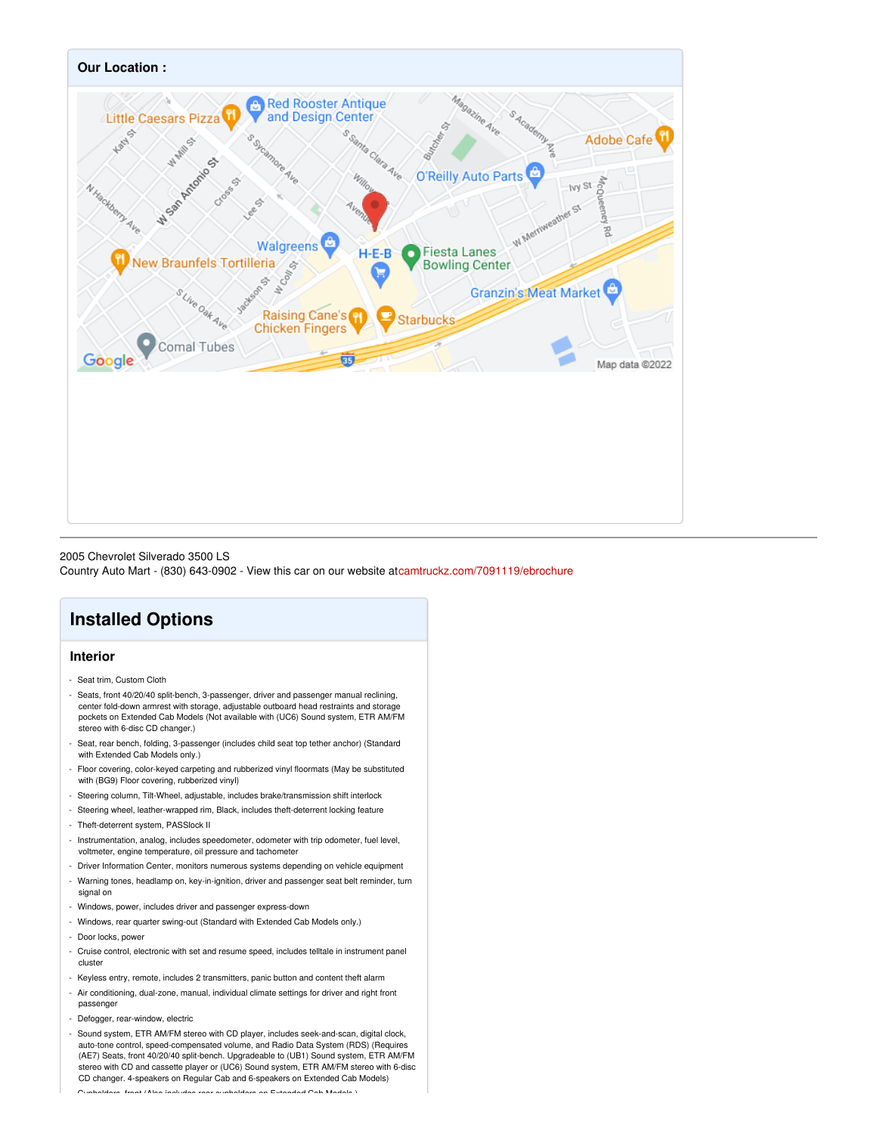

2005 Chevrolet Silverado 3500 LS

Country Auto Mart - (830) 643-0902 - View this car on our website a[tcamtruckz.com/7091119/ebrochure](https://camtruckz.com/vehicle/7091119/2005-chevrolet-silverado-3500-ls-new-braunfels-tx-78130/7091119/ebrochure)

## **Installed Options**

#### **Interior**

- Seat trim, Custom Cloth
- Seats, front 40/20/40 split-bench, 3-passenger, driver and passenger manual reclining, center fold-down armrest with storage, adjustable outboard head restraints and storage pockets on Extended Cab Models (Not available with (UC6) Sound system, ETR AM/FM stereo with 6-disc CD changer.)
- Seat, rear bench, folding, 3-passenger (includes child seat top tether anchor) (Standard with Extended Cab Models only.)
- Floor covering, color-keyed carpeting and rubberized vinyl floormats (May be substituted with (BG9) Floor covering, rubberized vinyl)
- Steering column, Tilt-Wheel, adjustable, includes brake/transmission shift interlock
- Steering wheel, leather-wrapped rim, Black, includes theft-deterrent locking feature
- Theft-deterrent system, PASSlock II
- Instrumentation, analog, includes speedometer, odometer with trip odometer, fuel level, voltmeter, engine temperature, oil pressure and tachometer
- Driver Information Center, monitors numerous systems depending on vehicle equipment
- Warning tones, headlamp on, key-in-ignition, driver and passenger seat belt reminder, turn signal on
- Windows, power, includes driver and passenger express-down
- Windows, rear quarter swing-out (Standard with Extended Cab Models only.)
- Door locks, power
- Cruise control, electronic with set and resume speed, includes telltale in instrument panel cluster
- Keyless entry, remote, includes 2 transmitters, panic button and content theft alarm
- Air conditioning, dual-zone, manual, individual climate settings for driver and right front passenger
- Defogger, rear-window, electric
- Sound system, ETR AM/FM stereo with CD player, includes seek-and-scan, digital clock, auto-tone control, speed-compensated volume, and Radio Data System (RDS) (Requires (AE7) Seats, front 40/20/40 split-bench. Upgradeable to (UB1) Sound system, ETR AM/FM stereo with CD and cassette player or (UC6) Sound system, ETR AM/FM stereo with 6-disc CD changer. 4-speakers on Regular Cab and 6-speakers on Extended Cab Models) - Cupholders, front (Also includes rear cupholders on Extended Cab Models.)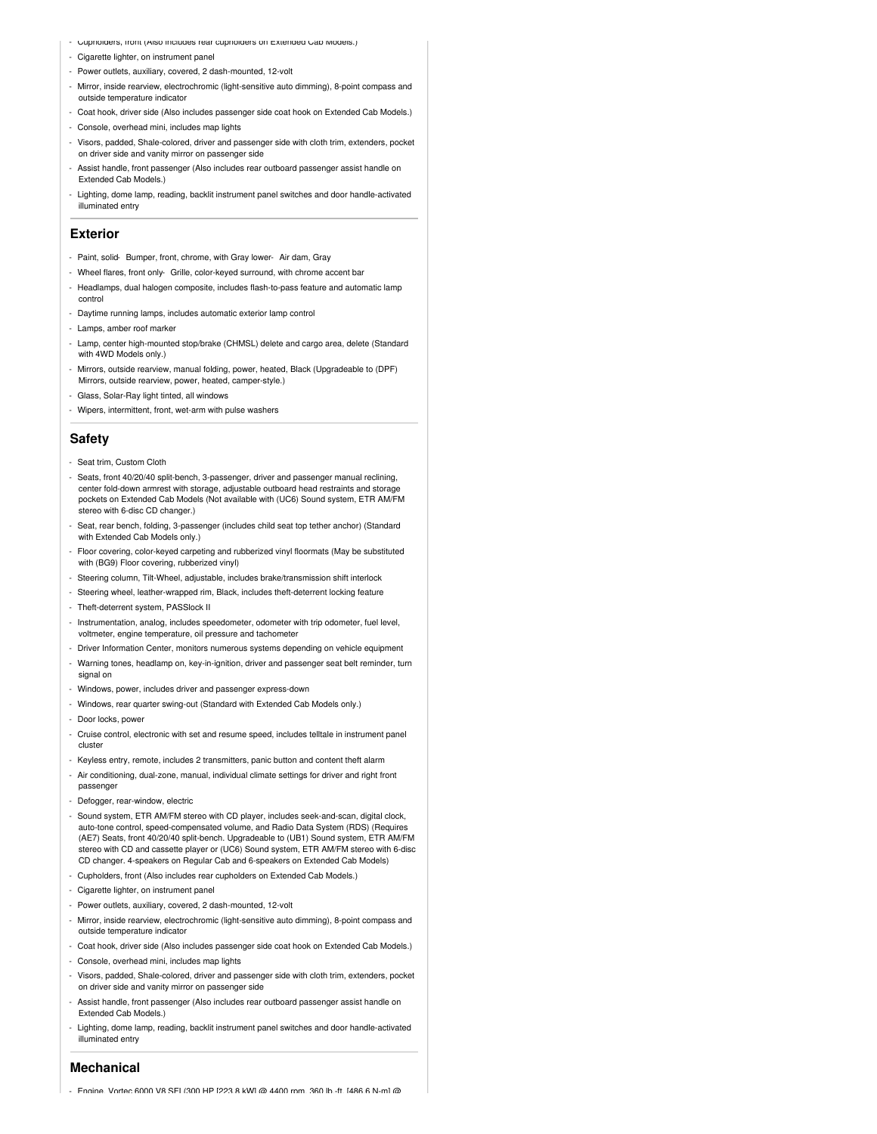- Cupholders, front (Also includes rear cupholders on Extended Cab Models.)
- Cigarette lighter, on instrument panel
- Power outlets, auxiliary, covered, 2 dash-mounted, 12-volt
- Mirror, inside rearview, electrochromic (light-sensitive auto dimming), 8-point compass and outside temperature indicator
- Coat hook, driver side (Also includes passenger side coat hook on Extended Cab Models.)
- Console, overhead mini, includes map lights
- Visors, padded, Shale-colored, driver and passenger side with cloth trim, extenders, pocket on driver side and vanity mirror on passenger side
- Assist handle, front passenger (Also includes rear outboard passenger assist handle on Extended Cab Models.)
- Lighting, dome lamp, reading, backlit instrument panel switches and door handle-activated illuminated entry

#### **Exterior**

- Paint, solid- Bumper, front, chrome, with Gray lower- Air dam, Gray
- Wheel flares, front only- Grille, color-keyed surround, with chrome accent bar
- Headlamps, dual halogen composite, includes flash-to-pass feature and automatic lamp control
- Daytime running lamps, includes automatic exterior lamp control
- Lamps, amber roof marker
- Lamp, center high-mounted stop/brake (CHMSL) delete and cargo area, delete (Standard with 4WD Models only.)
- Mirrors, outside rearview, manual folding, power, heated, Black (Upgradeable to (DPF) Mirrors, outside rearview, power, heated, camper-style.)
- Glass, Solar-Ray light tinted, all windows
- Wipers, intermittent, front, wet-arm with pulse washers

#### **Safety**

- Seat trim, Custom Cloth
- Seats, front 40/20/40 split-bench, 3-passenger, driver and passenger manual reclining, center fold-down armrest with storage, adjustable outboard head restraints and storage pockets on Extended Cab Models (Not available with (UC6) Sound system, ETR AM/FM stereo with 6-disc CD changer.)
- Seat, rear bench, folding, 3-passenger (includes child seat top tether anchor) (Standard with Extended Cab Models only.)
- Floor covering, color-keyed carpeting and rubberized vinyl floormats (May be substituted with (BG9) Floor covering, rubberized vinyl)
- Steering column, Tilt-Wheel, adjustable, includes brake/transmission shift interlock
- Steering wheel, leather-wrapped rim, Black, includes theft-deterrent locking feature
- Theft-deterrent system, PASSlock II
- Instrumentation, analog, includes speedometer, odometer with trip odometer, fuel level, voltmeter, engine temperature, oil pressure and tachometer
- Driver Information Center, monitors numerous systems depending on vehicle equipment
- Warning tones, headlamp on, key-in-ignition, driver and passenger seat belt reminder, turn signal on
- Windows, power, includes driver and passenger express-down
- Windows, rear quarter swing-out (Standard with Extended Cab Models only.)
- Door locks, power
- Cruise control, electronic with set and resume speed, includes telltale in instrument panel cluster
- Keyless entry, remote, includes 2 transmitters, panic button and content theft alarm
- Air conditioning, dual-zone, manual, individual climate settings for driver and right front passenger
- Defogger, rear-window, electric
- Sound system, ETR AM/FM stereo with CD player, includes seek-and-scan, digital clock, auto-tone control, speed-compensated volume, and Radio Data System (RDS) (Requires (AE7) Seats, front 40/20/40 split-bench. Upgradeable to (UB1) Sound system, ETR AM/FM stereo with CD and cassette player or (UC6) Sound system, ETR AM/FM stereo with 6-disc CD changer. 4-speakers on Regular Cab and 6-speakers on Extended Cab Models)
- Cupholders, front (Also includes rear cupholders on Extended Cab Models.)
- Cigarette lighter, on instrument panel
- Power outlets, auxiliary, covered, 2 dash-mounted, 12-volt
- Mirror, inside rearview, electrochromic (light-sensitive auto dimming), 8-point compass and outside temperature indicator
- Coat hook, driver side (Also includes passenger side coat hook on Extended Cab Models.)
- Console, overhead mini, includes map lights
- Visors, padded, Shale-colored, driver and passenger side with cloth trim, extenders, pocket on driver side and vanity mirror on passenger side
- Assist handle, front passenger (Also includes rear outboard passenger assist handle on Extended Cab Models.)
- Lighting, dome lamp, reading, backlit instrument panel switches and door handle-activated illuminated entry

#### **Mechanical**

- Engine, Vortec 6000 V8 SEI (300 HP [223.8 kW] @ 4400 rpm, 360 lb.-ft. [486.6 N.-m] @